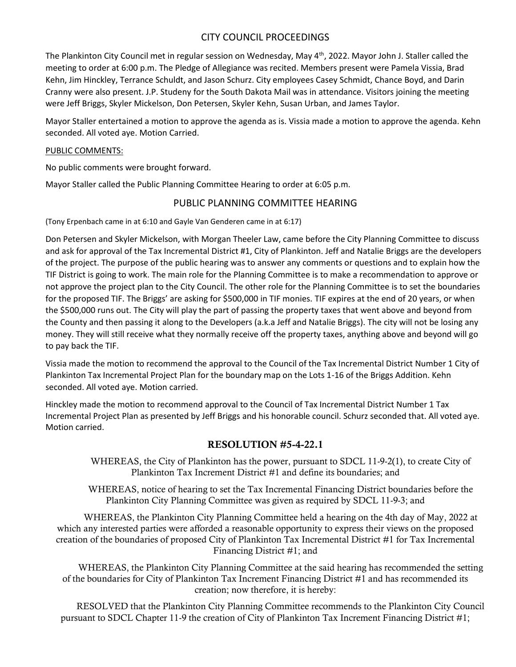# CITY COUNCIL PROCEEDINGS

The Plankinton City Council met in regular session on Wednesday, May 4<sup>th</sup>, 2022. Mayor John J. Staller called the meeting to order at 6:00 p.m. The Pledge of Allegiance was recited. Members present were Pamela Vissia, Brad Kehn, Jim Hinckley, Terrance Schuldt, and Jason Schurz. City employees Casey Schmidt, Chance Boyd, and Darin Cranny were also present. J.P. Studeny for the South Dakota Mail was in attendance. Visitors joining the meeting were Jeff Briggs, Skyler Mickelson, Don Petersen, Skyler Kehn, Susan Urban, and James Taylor.

Mayor Staller entertained a motion to approve the agenda as is. Vissia made a motion to approve the agenda. Kehn seconded. All voted aye. Motion Carried.

#### PUBLIC COMMENTS:

No public comments were brought forward.

Mayor Staller called the Public Planning Committee Hearing to order at 6:05 p.m.

# PUBLIC PLANNING COMMITTEE HEARING

(Tony Erpenbach came in at 6:10 and Gayle Van Genderen came in at 6:17)

Don Petersen and Skyler Mickelson, with Morgan Theeler Law, came before the City Planning Committee to discuss and ask for approval of the Tax Incremental District #1, City of Plankinton. Jeff and Natalie Briggs are the developers of the project. The purpose of the public hearing was to answer any comments or questions and to explain how the TIF District is going to work. The main role for the Planning Committee is to make a recommendation to approve or not approve the project plan to the City Council. The other role for the Planning Committee is to set the boundaries for the proposed TIF. The Briggs' are asking for \$500,000 in TIF monies. TIF expires at the end of 20 years, or when the \$500,000 runs out. The City will play the part of passing the property taxes that went above and beyond from the County and then passing it along to the Developers (a.k.a Jeff and Natalie Briggs). The city will not be losing any money. They will still receive what they normally receive off the property taxes, anything above and beyond will go to pay back the TIF.

Vissia made the motion to recommend the approval to the Council of the Tax Incremental District Number 1 City of Plankinton Tax Incremental Project Plan for the boundary map on the Lots 1-16 of the Briggs Addition. Kehn seconded. All voted aye. Motion carried.

Hinckley made the motion to recommend approval to the Council of Tax Incremental District Number 1 Tax Incremental Project Plan as presented by Jeff Briggs and his honorable council. Schurz seconded that. All voted aye. Motion carried.

# RESOLUTION #5-4-22.1

WHEREAS, the City of Plankinton has the power, pursuant to SDCL 11-9-2(1), to create City of Plankinton Tax Increment District #1 and define its boundaries; and

WHEREAS, notice of hearing to set the Tax Incremental Financing District boundaries before the Plankinton City Planning Committee was given as required by SDCL 11-9-3; and

WHEREAS, the Plankinton City Planning Committee held a hearing on the 4th day of May, 2022 at which any interested parties were afforded a reasonable opportunity to express their views on the proposed creation of the boundaries of proposed City of Plankinton Tax Incremental District #1 for Tax Incremental Financing District #1; and

WHEREAS, the Plankinton City Planning Committee at the said hearing has recommended the setting of the boundaries for City of Plankinton Tax Increment Financing District #1 and has recommended its creation; now therefore, it is hereby:

RESOLVED that the Plankinton City Planning Committee recommends to the Plankinton City Council pursuant to SDCL Chapter 11-9 the creation of City of Plankinton Tax Increment Financing District #1;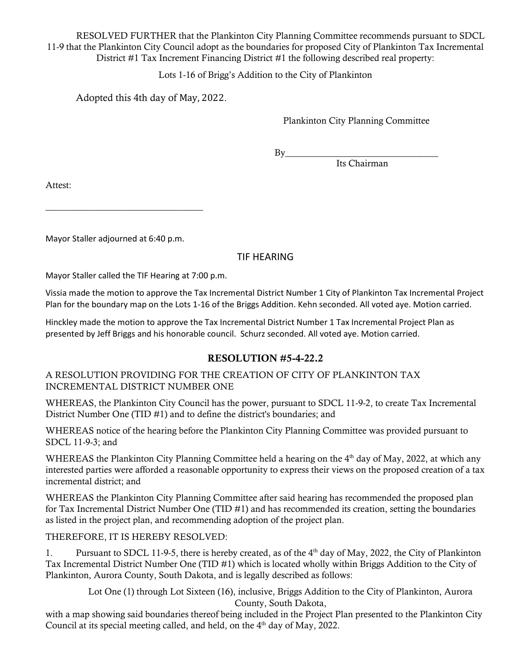RESOLVED FURTHER that the Plankinton City Planning Committee recommends pursuant to SDCL 11-9 that the Plankinton City Council adopt as the boundaries for proposed City of Plankinton Tax Incremental District  $#1$  Tax Increment Financing District  $#1$  the following described real property:

Lots 1-16 of Brigg's Addition to the City of Plankinton

Adopted this 4th day of May, 2022.

Plankinton City Planning Committee

 $By$ 

Its Chairman

Attest:

Mayor Staller adjourned at 6:40 p.m.

\_\_\_\_\_\_\_\_\_\_\_\_\_\_\_\_\_\_\_\_\_\_\_\_\_\_\_\_\_\_\_\_\_\_

# TIF HEARING

Mayor Staller called the TIF Hearing at 7:00 p.m.

Vissia made the motion to approve the Tax Incremental District Number 1 City of Plankinton Tax Incremental Project Plan for the boundary map on the Lots 1-16 of the Briggs Addition. Kehn seconded. All voted aye. Motion carried.

Hinckley made the motion to approve the Tax Incremental District Number 1 Tax Incremental Project Plan as presented by Jeff Briggs and his honorable council. Schurz seconded. All voted aye. Motion carried.

# RESOLUTION #5-4-22.2

# A RESOLUTION PROVIDING FOR THE CREATION OF CITY OF PLANKINTON TAX INCREMENTAL DISTRICT NUMBER ONE

WHEREAS, the Plankinton City Council has the power, pursuant to SDCL 11-9-2, to create Tax Incremental District Number One (TID #1) and to define the district's boundaries; and

WHEREAS notice of the hearing before the Plankinton City Planning Committee was provided pursuant to SDCL 11-9-3; and

WHEREAS the Plankinton City Planning Committee held a hearing on the 4<sup>th</sup> day of May, 2022, at which any interested parties were afforded a reasonable opportunity to express their views on the proposed creation of a tax incremental district; and

WHEREAS the Plankinton City Planning Committee after said hearing has recommended the proposed plan for Tax Incremental District Number One (TID #1) and has recommended its creation, setting the boundaries as listed in the project plan, and recommending adoption of the project plan.

THEREFORE, IT IS HEREBY RESOLVED:

1. Pursuant to SDCL 11-9-5, there is hereby created, as of the  $4<sup>th</sup>$  day of May, 2022, the City of Plankinton Tax Incremental District Number One (TID #1) which is located wholly within Briggs Addition to the City of Plankinton, Aurora County, South Dakota, and is legally described as follows:

Lot One (1) through Lot Sixteen (16), inclusive, Briggs Addition to the City of Plankinton, Aurora County, South Dakota,

with a map showing said boundaries thereof being included in the Project Plan presented to the Plankinton City Council at its special meeting called, and held, on the 4<sup>th</sup> day of May, 2022.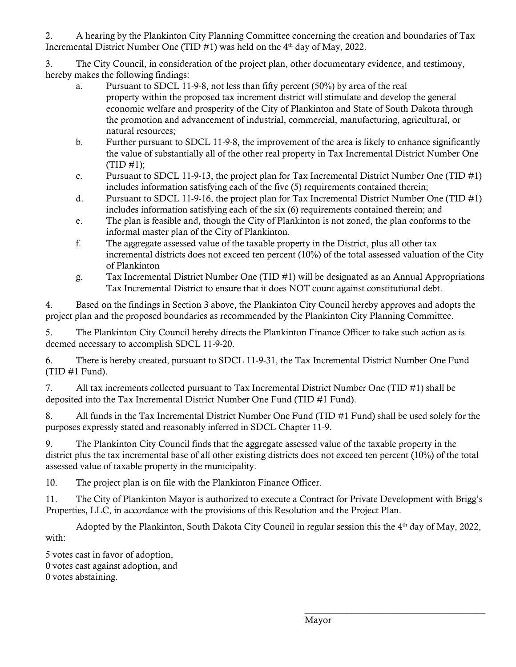2. A hearing by the Plankinton City Planning Committee concerning the creation and boundaries of Tax Incremental District Number One (TID  $#1$ ) was held on the  $4<sup>th</sup>$  day of May, 2022.

3. The City Council, in consideration of the project plan, other documentary evidence, and testimony, hereby makes the following findings:

- a. Pursuant to SDCL 11-9-8, not less than fifty percent (50%) by area of the real property within the proposed tax increment district will stimulate and develop the general economic welfare and prosperity of the City of Plankinton and State of South Dakota through the promotion and advancement of industrial, commercial, manufacturing, agricultural, or natural resources;
- b. Further pursuant to SDCL 11-9-8, the improvement of the area is likely to enhance significantly the value of substantially all of the other real property in Tax Incremental District Number One  $(TID #1);$
- c. Pursuant to SDCL 11-9-13, the project plan for Tax Incremental District Number One (TID #1) includes information satisfying each of the five (5) requirements contained therein;
- d. Pursuant to SDCL 11-9-16, the project plan for Tax Incremental District Number One (TID #1) includes information satisfying each of the six (6) requirements contained therein; and
- e. The plan is feasible and, though the City of Plankinton is not zoned, the plan conforms to the informal master plan of the City of Plankinton.
- f. The aggregate assessed value of the taxable property in the District, plus all other tax incremental districts does not exceed ten percent (10%) of the total assessed valuation of the City of Plankinton
- g. Tax Incremental District Number One (TID #1) will be designated as an Annual Appropriations Tax Incremental District to ensure that it does NOT count against constitutional debt.

4. Based on the findings in Section 3 above, the Plankinton City Council hereby approves and adopts the project plan and the proposed boundaries as recommended by the Plankinton City Planning Committee.

5. The Plankinton City Council hereby directs the Plankinton Finance Officer to take such action as is deemed necessary to accomplish SDCL 11-9-20.

6. There is hereby created, pursuant to SDCL 11-9-31, the Tax Incremental District Number One Fund (TID #1 Fund).

7. All tax increments collected pursuant to Tax Incremental District Number One (TID #1) shall be deposited into the Tax Incremental District Number One Fund (TID #1 Fund).

8. All funds in the Tax Incremental District Number One Fund (TID #1 Fund) shall be used solely for the purposes expressly stated and reasonably inferred in SDCL Chapter 11-9.

9. The Plankinton City Council finds that the aggregate assessed value of the taxable property in the district plus the tax incremental base of all other existing districts does not exceed ten percent (10%) of the total assessed value of taxable property in the municipality.

10. The project plan is on file with the Plankinton Finance Officer.

11. The City of Plankinton Mayor is authorized to execute a Contract for Private Development with Brigg's Properties, LLC, in accordance with the provisions of this Resolution and the Project Plan.

Adopted by the Plankinton, South Dakota City Council in regular session this the  $4<sup>th</sup>$  day of May, 2022, with:

5 votes cast in favor of adoption, 0 votes cast against adoption, and 0 votes abstaining.

\_\_\_\_\_\_\_\_\_\_\_\_\_\_\_\_\_\_\_\_\_\_\_\_\_\_\_\_\_\_\_\_\_\_\_\_\_\_\_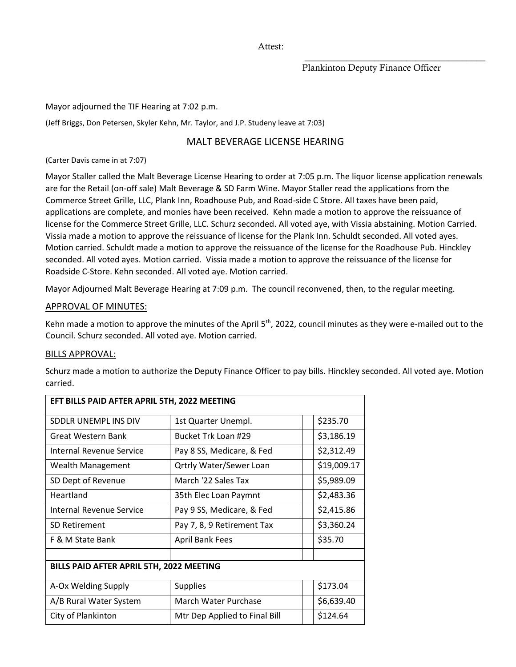Attest:

#### \_\_\_\_\_\_\_\_\_\_\_\_\_\_\_\_\_\_\_\_\_\_\_\_\_\_\_\_\_\_\_\_\_\_\_\_\_\_\_ Plankinton Deputy Finance Officer

Mayor adjourned the TIF Hearing at 7:02 p.m.

(Jeff Briggs, Don Petersen, Skyler Kehn, Mr. Taylor, and J.P. Studeny leave at 7:03)

# MALT BEVERAGE LICENSE HEARING

(Carter Davis came in at 7:07)

Mayor Staller called the Malt Beverage License Hearing to order at 7:05 p.m. The liquor license application renewals are for the Retail (on-off sale) Malt Beverage & SD Farm Wine. Mayor Staller read the applications from the Commerce Street Grille, LLC, Plank Inn, Roadhouse Pub, and Road-side C Store. All taxes have been paid, applications are complete, and monies have been received. Kehn made a motion to approve the reissuance of license for the Commerce Street Grille, LLC. Schurz seconded. All voted aye, with Vissia abstaining. Motion Carried. Vissia made a motion to approve the reissuance of license for the Plank Inn. Schuldt seconded. All voted ayes. Motion carried. Schuldt made a motion to approve the reissuance of the license for the Roadhouse Pub. Hinckley seconded. All voted ayes. Motion carried. Vissia made a motion to approve the reissuance of the license for Roadside C-Store. Kehn seconded. All voted aye. Motion carried.

Mayor Adjourned Malt Beverage Hearing at 7:09 p.m. The council reconvened, then, to the regular meeting.

#### APPROVAL OF MINUTES:

Kehn made a motion to approve the minutes of the April 5<sup>th</sup>, 2022, council minutes as they were e-mailed out to the Council. Schurz seconded. All voted aye. Motion carried.

#### BILLS APPROVAL:

Schurz made a motion to authorize the Deputy Finance Officer to pay bills. Hinckley seconded. All voted aye. Motion carried.

| EFT BILLS PAID AFTER APRIL 5TH, 2022 MEETING |                                |             |  |  |
|----------------------------------------------|--------------------------------|-------------|--|--|
| SDDLR UNEMPL INS DIV                         | 1st Quarter Unempl.            | \$235.70    |  |  |
| Great Western Bank                           | Bucket Trk Loan #29            | \$3,186.19  |  |  |
| Internal Revenue Service                     | Pay 8 SS, Medicare, & Fed      | \$2,312.49  |  |  |
| Wealth Management                            | <b>Qrtrly Water/Sewer Loan</b> | \$19,009.17 |  |  |
| SD Dept of Revenue                           | March '22 Sales Tax            | \$5,989.09  |  |  |
| Heartland                                    | 35th Elec Loan Paymnt          | \$2,483.36  |  |  |
| Internal Revenue Service                     | Pay 9 SS, Medicare, & Fed      | \$2,415.86  |  |  |
| <b>SD Retirement</b>                         | Pay 7, 8, 9 Retirement Tax     | \$3,360.24  |  |  |
| F & M State Bank                             | <b>April Bank Fees</b>         | \$35.70     |  |  |
|                                              |                                |             |  |  |
| BILLS PAID AFTER APRIL 5TH, 2022 MEETING     |                                |             |  |  |
| A-Ox Welding Supply                          | <b>Supplies</b>                | \$173.04    |  |  |
| A/B Rural Water System                       | March Water Purchase           | \$6,639.40  |  |  |
| City of Plankinton                           | Mtr Dep Applied to Final Bill  | \$124.64    |  |  |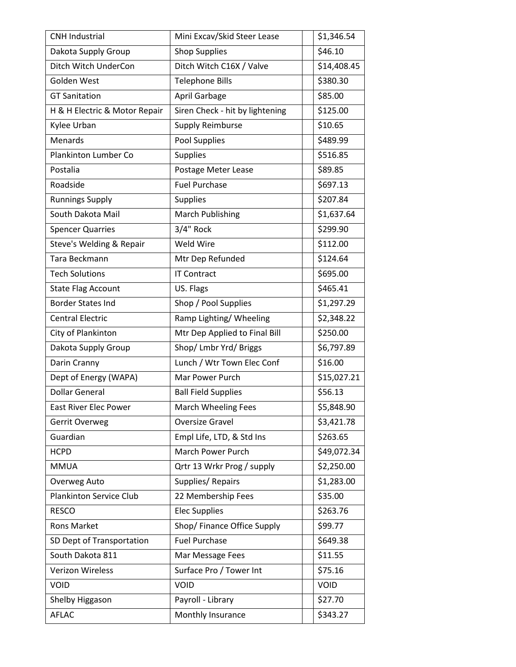| <b>CNH Industrial</b>          | Mini Excav/Skid Steer Lease     | \$1,346.54  |
|--------------------------------|---------------------------------|-------------|
| Dakota Supply Group            | <b>Shop Supplies</b>            | \$46.10     |
| Ditch Witch UnderCon           | Ditch Witch C16X / Valve        | \$14,408.45 |
| Golden West                    | <b>Telephone Bills</b>          | \$380.30    |
| <b>GT Sanitation</b>           | April Garbage                   | \$85.00     |
| H & H Electric & Motor Repair  | Siren Check - hit by lightening | \$125.00    |
| Kylee Urban                    | Supply Reimburse                | \$10.65     |
| Menards                        | Pool Supplies                   | \$489.99    |
| Plankinton Lumber Co           | Supplies                        | \$516.85    |
| Postalia                       | Postage Meter Lease             | \$89.85     |
| Roadside                       | <b>Fuel Purchase</b>            | \$697.13    |
| <b>Runnings Supply</b>         | <b>Supplies</b>                 | \$207.84    |
| South Dakota Mail              | <b>March Publishing</b>         | \$1,637.64  |
| <b>Spencer Quarries</b>        | 3/4" Rock                       | \$299.90    |
| Steve's Welding & Repair       | Weld Wire                       | \$112.00    |
| Tara Beckmann                  | Mtr Dep Refunded                | \$124.64    |
| <b>Tech Solutions</b>          | <b>IT Contract</b>              | \$695.00    |
| <b>State Flag Account</b>      | US. Flags                       | \$465.41    |
| <b>Border States Ind</b>       | Shop / Pool Supplies            | \$1,297.29  |
| <b>Central Electric</b>        | Ramp Lighting/Wheeling          | \$2,348.22  |
| City of Plankinton             | Mtr Dep Applied to Final Bill   | \$250.00    |
| Dakota Supply Group            | Shop/ Lmbr Yrd/ Briggs          | \$6,797.89  |
| Darin Cranny                   | Lunch / Wtr Town Elec Conf      | \$16.00     |
| Dept of Energy (WAPA)          | Mar Power Purch                 | \$15,027.21 |
| <b>Dollar General</b>          | <b>Ball Field Supplies</b>      | \$56.13     |
| <b>East River Elec Power</b>   | March Wheeling Fees             | \$5,848.90  |
| Gerrit Overweg                 | Oversize Gravel                 | \$3,421.78  |
| Guardian                       | Empl Life, LTD, & Std Ins       | \$263.65    |
| <b>HCPD</b>                    | March Power Purch               | \$49,072.34 |
| <b>MMUA</b>                    | Qrtr 13 Wrkr Prog / supply      | \$2,250.00  |
| Overweg Auto                   | Supplies/Repairs                | \$1,283.00  |
| <b>Plankinton Service Club</b> | 22 Membership Fees              | \$35.00     |
| <b>RESCO</b>                   | <b>Elec Supplies</b>            | \$263.76    |
| <b>Rons Market</b>             | Shop/ Finance Office Supply     | \$99.77     |
| SD Dept of Transportation      | <b>Fuel Purchase</b>            | \$649.38    |
| South Dakota 811               | Mar Message Fees                | \$11.55     |
| <b>Verizon Wireless</b>        | Surface Pro / Tower Int         | \$75.16     |
| VOID                           | <b>VOID</b>                     | VOID        |
| Shelby Higgason                | Payroll - Library               | \$27.70     |
| <b>AFLAC</b>                   | Monthly Insurance               | \$343.27    |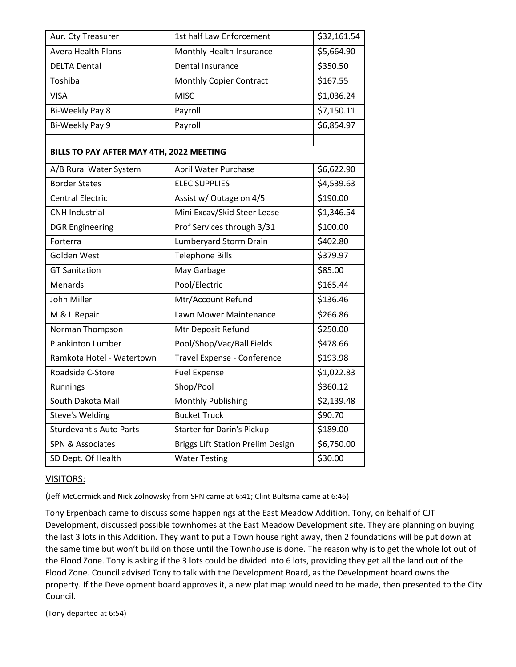| Aur. Cty Treasurer                       | 1st half Law Enforcement                 | \$32,161.54             |
|------------------------------------------|------------------------------------------|-------------------------|
| <b>Avera Health Plans</b>                | Monthly Health Insurance                 | \$5,664.90              |
| <b>DELTA Dental</b>                      | Dental Insurance                         | \$350.50                |
| Toshiba                                  | <b>Monthly Copier Contract</b>           | \$167.55                |
| <b>VISA</b>                              | <b>MISC</b>                              | \$1,036.24              |
| Bi-Weekly Pay 8                          | Payroll                                  | \$7,150.11              |
| Bi-Weekly Pay 9                          | Payroll                                  | \$6,854.97              |
|                                          |                                          |                         |
| BILLS TO PAY AFTER MAY 4TH, 2022 MEETING |                                          |                         |
| A/B Rural Water System                   | April Water Purchase                     | \$6,622.90              |
| <b>Border States</b>                     | <b>ELEC SUPPLIES</b>                     | \$4,539.63              |
| <b>Central Electric</b>                  | Assist w/ Outage on 4/5                  | \$190.00                |
| <b>CNH Industrial</b>                    | Mini Excav/Skid Steer Lease              | \$1,346.54              |
| <b>DGR Engineering</b>                   | Prof Services through 3/31               | \$100.00                |
| Forterra                                 | Lumberyard Storm Drain                   | \$402.80                |
| Golden West                              | <b>Telephone Bills</b>                   | \$379.97                |
| <b>GT Sanitation</b>                     | May Garbage                              | \$85.00                 |
| Menards                                  | Pool/Electric                            | \$165.44                |
| John Miller                              | Mtr/Account Refund                       | \$136.46                |
| M & L Repair                             | Lawn Mower Maintenance                   | \$266.86                |
| Norman Thompson                          | Mtr Deposit Refund                       | \$250.00                |
| <b>Plankinton Lumber</b>                 | Pool/Shop/Vac/Ball Fields                | \$478.66                |
| Ramkota Hotel - Watertown                | Travel Expense - Conference              | \$193.98                |
| Roadside C-Store                         | <b>Fuel Expense</b>                      | \$1,022.83              |
| Runnings                                 | Shop/Pool                                | \$360.12                |
| South Dakota Mail                        | Monthly Publishing                       | $\overline{5}$ 2,139.48 |
| <b>Steve's Welding</b>                   | <b>Bucket Truck</b>                      | \$90.70                 |
| <b>Sturdevant's Auto Parts</b>           | <b>Starter for Darin's Pickup</b>        | \$189.00                |
| <b>SPN &amp; Associates</b>              | <b>Briggs Lift Station Prelim Design</b> | \$6,750.00              |
| SD Dept. Of Health                       | <b>Water Testing</b>                     | \$30.00                 |

## VISITORS:

(Jeff McCormick and Nick Zolnowsky from SPN came at 6:41; Clint Bultsma came at 6:46)

Tony Erpenbach came to discuss some happenings at the East Meadow Addition. Tony, on behalf of CJT Development, discussed possible townhomes at the East Meadow Development site. They are planning on buying the last 3 lots in this Addition. They want to put a Town house right away, then 2 foundations will be put down at the same time but won't build on those until the Townhouse is done. The reason why is to get the whole lot out of the Flood Zone. Tony is asking if the 3 lots could be divided into 6 lots, providing they get all the land out of the Flood Zone. Council advised Tony to talk with the Development Board, as the Development board owns the property. If the Development board approves it, a new plat map would need to be made, then presented to the City Council.

(Tony departed at 6:54)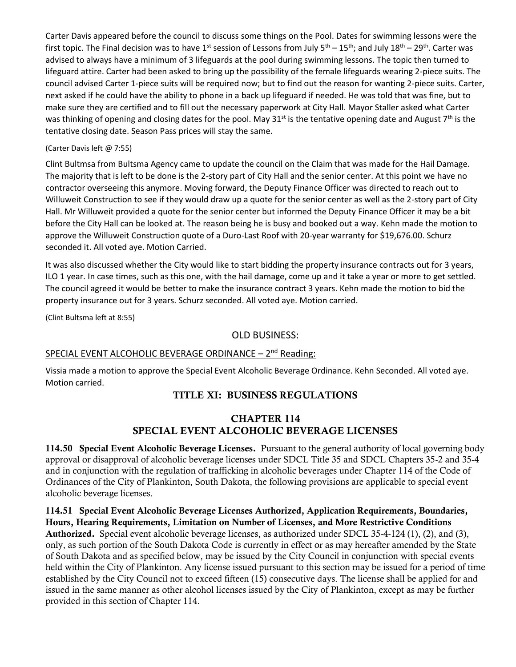Carter Davis appeared before the council to discuss some things on the Pool. Dates for swimming lessons were the first topic. The Final decision was to have 1<sup>st</sup> session of Lessons from July 5<sup>th</sup> – 15<sup>th</sup>; and July 18<sup>th</sup> – 29<sup>th</sup>. Carter was advised to always have a minimum of 3 lifeguards at the pool during swimming lessons. The topic then turned to lifeguard attire. Carter had been asked to bring up the possibility of the female lifeguards wearing 2-piece suits. The council advised Carter 1-piece suits will be required now; but to find out the reason for wanting 2-piece suits. Carter, next asked if he could have the ability to phone in a back up lifeguard if needed. He was told that was fine, but to make sure they are certified and to fill out the necessary paperwork at City Hall. Mayor Staller asked what Carter was thinking of opening and closing dates for the pool. May 31<sup>st</sup> is the tentative opening date and August 7<sup>th</sup> is the tentative closing date. Season Pass prices will stay the same.

## (Carter Davis left @ 7:55)

Clint Bultmsa from Bultsma Agency came to update the council on the Claim that was made for the Hail Damage. The majority that is left to be done is the 2-story part of City Hall and the senior center. At this point we have no contractor overseeing this anymore. Moving forward, the Deputy Finance Officer was directed to reach out to Willuweit Construction to see if they would draw up a quote for the senior center as well as the 2-story part of City Hall. Mr Willuweit provided a quote for the senior center but informed the Deputy Finance Officer it may be a bit before the City Hall can be looked at. The reason being he is busy and booked out a way. Kehn made the motion to approve the Willuweit Construction quote of a Duro-Last Roof with 20-year warranty for \$19,676.00. Schurz seconded it. All voted aye. Motion Carried.

It was also discussed whether the City would like to start bidding the property insurance contracts out for 3 years, ILO 1 year. In case times, such as this one, with the hail damage, come up and it take a year or more to get settled. The council agreed it would be better to make the insurance contract 3 years. Kehn made the motion to bid the property insurance out for 3 years. Schurz seconded. All voted aye. Motion carried.

(Clint Bultsma left at 8:55)

## OLD BUSINESS:

# SPECIAL EVENT ALCOHOLIC BEVERAGE ORDINANCE - 2<sup>nd</sup> Reading:

Vissia made a motion to approve the Special Event Alcoholic Beverage Ordinance. Kehn Seconded. All voted aye. Motion carried.

# TITLE XI: BUSINESS REGULATIONS

# CHAPTER 114 SPECIAL EVENT ALCOHOLIC BEVERAGE LICENSES

114.50 Special Event Alcoholic Beverage Licenses. Pursuant to the general authority of local governing body approval or disapproval of alcoholic beverage licenses under SDCL Title 35 and SDCL Chapters 35-2 and 35-4 and in conjunction with the regulation of trafficking in alcoholic beverages under Chapter 114 of the Code of Ordinances of the City of Plankinton, South Dakota, the following provisions are applicable to special event alcoholic beverage licenses.

114.51 Special Event Alcoholic Beverage Licenses Authorized, Application Requirements, Boundaries, Hours, Hearing Requirements, Limitation on Number of Licenses, and More Restrictive Conditions Authorized. Special event alcoholic beverage licenses, as authorized under SDCL 35-4-124 (1), (2), and (3), only, as such portion of the South Dakota Code is currently in effect or as may hereafter amended by the State of South Dakota and as specified below, may be issued by the City Council in conjunction with special events held within the City of Plankinton. Any license issued pursuant to this section may be issued for a period of time established by the City Council not to exceed fifteen (15) consecutive days. The license shall be applied for and issued in the same manner as other alcohol licenses issued by the City of Plankinton, except as may be further provided in this section of Chapter 114.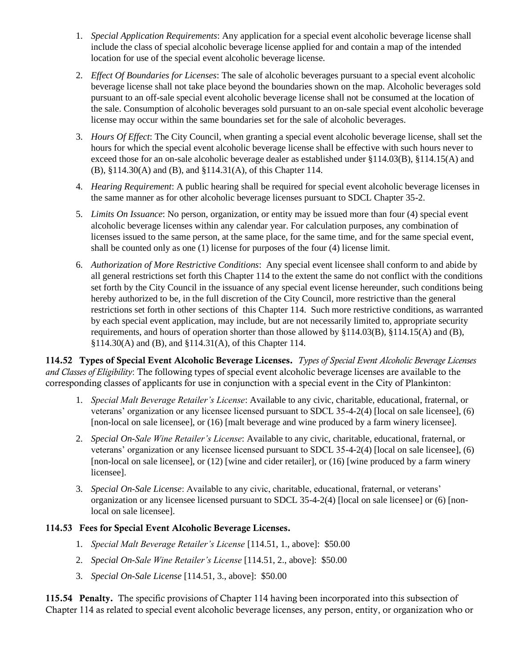- 1. *Special Application Requirements*: Any application for a special event alcoholic beverage license shall include the class of special alcoholic beverage license applied for and contain a map of the intended location for use of the special event alcoholic beverage license.
- 2. *Effect Of Boundaries for Licenses*: The sale of alcoholic beverages pursuant to a special event alcoholic beverage license shall not take place beyond the boundaries shown on the map. Alcoholic beverages sold pursuant to an off-sale special event alcoholic beverage license shall not be consumed at the location of the sale. Consumption of alcoholic beverages sold pursuant to an on-sale special event alcoholic beverage license may occur within the same boundaries set for the sale of alcoholic beverages.
- 3. *Hours Of Effect*: The City Council, when granting a special event alcoholic beverage license, shall set the hours for which the special event alcoholic beverage license shall be effective with such hours never to exceed those for an on-sale alcoholic beverage dealer as established under §114.03(B), §114.15(A) and (B), §114.30(A) and (B), and §114.31(A), of this Chapter 114.
- 4. *Hearing Requirement*: A public hearing shall be required for special event alcoholic beverage licenses in the same manner as for other alcoholic beverage licenses pursuant to SDCL Chapter 35-2.
- 5. *Limits On Issuance*: No person, organization, or entity may be issued more than four (4) special event alcoholic beverage licenses within any calendar year. For calculation purposes, any combination of licenses issued to the same person, at the same place, for the same time, and for the same special event, shall be counted only as one (1) license for purposes of the four (4) license limit.
- 6. *Authorization of More Restrictive Conditions*: Any special event licensee shall conform to and abide by all general restrictions set forth this Chapter 114 to the extent the same do not conflict with the conditions set forth by the City Council in the issuance of any special event license hereunder, such conditions being hereby authorized to be, in the full discretion of the City Council, more restrictive than the general restrictions set forth in other sections of this Chapter 114. Such more restrictive conditions, as warranted by each special event application, may include, but are not necessarily limited to, appropriate security requirements, and hours of operation shorter than those allowed by §114.03(B), §114.15(A) and (B), §114.30(A) and (B), and §114.31(A), of this Chapter 114.

114.52 Types of Special Event Alcoholic Beverage Licenses. *Types of Special Event Alcoholic Beverage Licenses and Classes of Eligibility*: The following types of special event alcoholic beverage licenses are available to the corresponding classes of applicants for use in conjunction with a special event in the City of Plankinton:

- 1. *Special Malt Beverage Retailer's License*: Available to any civic, charitable, educational, fraternal, or veterans' organization or any licensee licensed pursuant to SDCL 35-4-2(4) [local on sale licensee], (6) [non-local on sale licensee], or (16) [malt beverage and wine produced by a farm winery licensee].
- 2. *Special On-Sale Wine Retailer's License*: Available to any civic, charitable, educational, fraternal, or veterans' organization or any licensee licensed pursuant to SDCL 35-4-2(4) [local on sale licensee], (6) [non-local on sale licensee], or (12) [wine and cider retailer], or (16) [wine produced by a farm winery licensee].
- 3. *Special On-Sale License*: Available to any civic, charitable, educational, fraternal, or veterans' organization or any licensee licensed pursuant to SDCL 35-4-2(4) [local on sale licensee] or (6) [nonlocal on sale licensee].

# 114.53 Fees for Special Event Alcoholic Beverage Licenses.

- 1. *Special Malt Beverage Retailer's License* [114.51, 1., above]: \$50.00
- 2. *Special On-Sale Wine Retailer's License* [114.51, 2., above]: \$50.00
- 3. *Special On-Sale License* [114.51, 3., above]: \$50.00

115.54 Penalty. The specific provisions of Chapter 114 having been incorporated into this subsection of Chapter 114 as related to special event alcoholic beverage licenses, any person, entity, or organization who or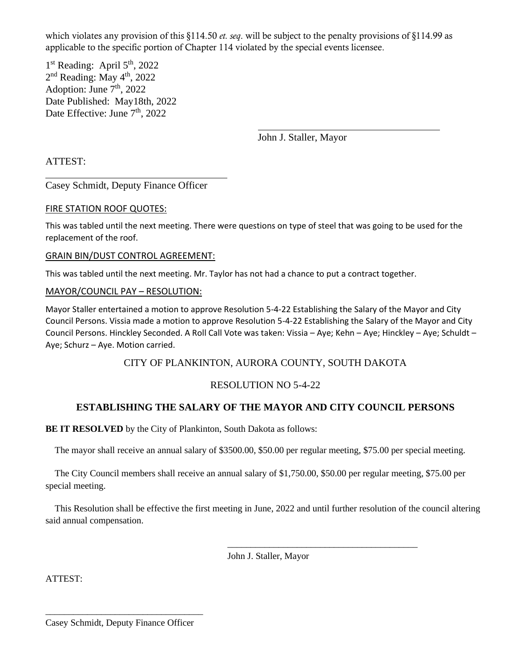which violates any provision of this §114.50 *et. seq*. will be subject to the penalty provisions of §114.99 as applicable to the specific portion of Chapter 114 violated by the special events licensee.

1<sup>st</sup> Reading: April 5<sup>th</sup>, 2022 2<sup>nd</sup> Reading: May 4<sup>th</sup>, 2022 Adoption: June  $7<sup>th</sup>$ , 2022 Date Published: May18th, 2022 Date Effective: June 7<sup>th</sup>, 2022

John J. Staller, Mayor

ATTEST:

Casey Schmidt, Deputy Finance Officer

## FIRE STATION ROOF QUOTES:

This was tabled until the next meeting. There were questions on type of steel that was going to be used for the replacement of the roof.

## GRAIN BIN/DUST CONTROL AGREEMENT:

This was tabled until the next meeting. Mr. Taylor has not had a chance to put a contract together.

## MAYOR/COUNCIL PAY – RESOLUTION:

Mayor Staller entertained a motion to approve Resolution 5-4-22 Establishing the Salary of the Mayor and City Council Persons. Vissia made a motion to approve Resolution 5-4-22 Establishing the Salary of the Mayor and City Council Persons. Hinckley Seconded. A Roll Call Vote was taken: Vissia – Aye; Kehn – Aye; Hinckley – Aye; Schuldt – Aye; Schurz – Aye. Motion carried.

# CITY OF PLANKINTON, AURORA COUNTY, SOUTH DAKOTA

## RESOLUTION NO 5-4-22

# **ESTABLISHING THE SALARY OF THE MAYOR AND CITY COUNCIL PERSONS**

**BE IT RESOLVED** by the City of Plankinton, South Dakota as follows:

The mayor shall receive an annual salary of \$3500.00, \$50.00 per regular meeting, \$75.00 per special meeting.

 The City Council members shall receive an annual salary of \$1,750.00, \$50.00 per regular meeting, \$75.00 per special meeting.

 This Resolution shall be effective the first meeting in June, 2022 and until further resolution of the council altering said annual compensation.

John J. Staller, Mayor

\_\_\_\_\_\_\_\_\_\_\_\_\_\_\_\_\_\_\_\_\_\_\_\_\_\_\_\_\_\_\_\_\_\_\_\_\_\_\_\_\_

ATTEST:

\_\_\_\_\_\_\_\_\_\_\_\_\_\_\_\_\_\_\_\_\_\_\_\_\_\_\_\_\_\_\_\_\_\_ Casey Schmidt, Deputy Finance Officer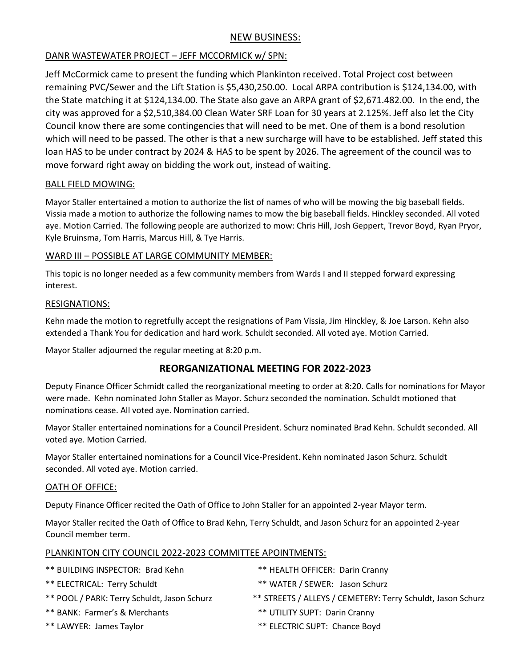# NEW BUSINESS:

# DANR WASTEWATER PROJECT – JEFF MCCORMICK w/ SPN:

Jeff McCormick came to present the funding which Plankinton received. Total Project cost between remaining PVC/Sewer and the Lift Station is \$5,430,250.00. Local ARPA contribution is \$124,134.00, with the State matching it at \$124,134.00. The State also gave an ARPA grant of \$2,671.482.00. In the end, the city was approved for a \$2,510,384.00 Clean Water SRF Loan for 30 years at 2.125%. Jeff also let the City Council know there are some contingencies that will need to be met. One of them is a bond resolution which will need to be passed. The other is that a new surcharge will have to be established. Jeff stated this loan HAS to be under contract by 2024 & HAS to be spent by 2026. The agreement of the council was to move forward right away on bidding the work out, instead of waiting.

## BALL FIELD MOWING:

Mayor Staller entertained a motion to authorize the list of names of who will be mowing the big baseball fields. Vissia made a motion to authorize the following names to mow the big baseball fields. Hinckley seconded. All voted aye. Motion Carried. The following people are authorized to mow: Chris Hill, Josh Geppert, Trevor Boyd, Ryan Pryor, Kyle Bruinsma, Tom Harris, Marcus Hill, & Tye Harris.

## WARD III – POSSIBLE AT LARGE COMMUNITY MEMBER:

This topic is no longer needed as a few community members from Wards I and II stepped forward expressing interest.

## RESIGNATIONS:

Kehn made the motion to regretfully accept the resignations of Pam Vissia, Jim Hinckley, & Joe Larson. Kehn also extended a Thank You for dedication and hard work. Schuldt seconded. All voted aye. Motion Carried.

Mayor Staller adjourned the regular meeting at 8:20 p.m.

# **REORGANIZATIONAL MEETING FOR 2022-2023**

Deputy Finance Officer Schmidt called the reorganizational meeting to order at 8:20. Calls for nominations for Mayor were made. Kehn nominated John Staller as Mayor. Schurz seconded the nomination. Schuldt motioned that nominations cease. All voted aye. Nomination carried.

Mayor Staller entertained nominations for a Council President. Schurz nominated Brad Kehn. Schuldt seconded. All voted aye. Motion Carried.

Mayor Staller entertained nominations for a Council Vice-President. Kehn nominated Jason Schurz. Schuldt seconded. All voted aye. Motion carried.

## OATH OF OFFICE:

Deputy Finance Officer recited the Oath of Office to John Staller for an appointed 2-year Mayor term.

Mayor Staller recited the Oath of Office to Brad Kehn, Terry Schuldt, and Jason Schurz for an appointed 2-year Council member term.

## PLANKINTON CITY COUNCIL 2022-2023 COMMITTEE APOINTMENTS:

| ** BUILDING INSPECTOR: Brad Kehn            | ** HEALTH OFFICER: Darin Cranny                             |
|---------------------------------------------|-------------------------------------------------------------|
| ** ELECTRICAL: Terry Schuldt                | ** WATER / SEWER: Jason Schurz                              |
| ** POOL / PARK: Terry Schuldt, Jason Schurz | ** STREETS / ALLEYS / CEMETERY: Terry Schuldt, Jason Schurz |
| ** BANK: Farmer's & Merchants               | ** UTILITY SUPT: Darin Cranny                               |
| ** LAWYER: James Taylor                     | ** ELECTRIC SUPT: Chance Boyd                               |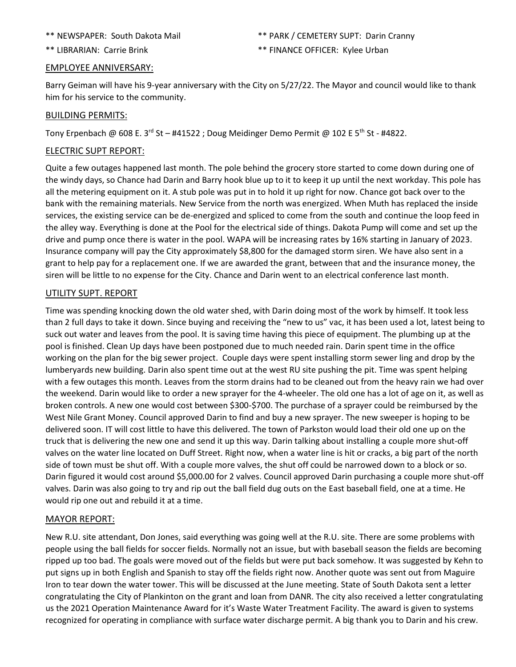#### \*\* LIBRARIAN: Carrie Brink \*\* FINANCE OFFICER: Kylee Urban

#### EMPLOYEE ANNIVERSARY:

Barry Geiman will have his 9-year anniversary with the City on 5/27/22. The Mayor and council would like to thank him for his service to the community.

## BUILDING PERMITS:

Tony Erpenbach @ 608 E. 3rd St - #41522 ; Doug Meidinger Demo Permit @ 102 E 5<sup>th</sup> St - #4822.

## ELECTRIC SUPT REPORT:

Quite a few outages happened last month. The pole behind the grocery store started to come down during one of the windy days, so Chance had Darin and Barry hook blue up to it to keep it up until the next workday. This pole has all the metering equipment on it. A stub pole was put in to hold it up right for now. Chance got back over to the bank with the remaining materials. New Service from the north was energized. When Muth has replaced the inside services, the existing service can be de-energized and spliced to come from the south and continue the loop feed in the alley way. Everything is done at the Pool for the electrical side of things. Dakota Pump will come and set up the drive and pump once there is water in the pool. WAPA will be increasing rates by 16% starting in January of 2023. Insurance company will pay the City approximately \$8,800 for the damaged storm siren. We have also sent in a grant to help pay for a replacement one. If we are awarded the grant, between that and the insurance money, the siren will be little to no expense for the City. Chance and Darin went to an electrical conference last month.

## UTILITY SUPT. REPORT

Time was spending knocking down the old water shed, with Darin doing most of the work by himself. It took less than 2 full days to take it down. Since buying and receiving the "new to us" vac, it has been used a lot, latest being to suck out water and leaves from the pool. It is saving time having this piece of equipment. The plumbing up at the pool is finished. Clean Up days have been postponed due to much needed rain. Darin spent time in the office working on the plan for the big sewer project. Couple days were spent installing storm sewer ling and drop by the lumberyards new building. Darin also spent time out at the west RU site pushing the pit. Time was spent helping with a few outages this month. Leaves from the storm drains had to be cleaned out from the heavy rain we had over the weekend. Darin would like to order a new sprayer for the 4-wheeler. The old one has a lot of age on it, as well as broken controls. A new one would cost between \$300-\$700. The purchase of a sprayer could be reimbursed by the West Nile Grant Money. Council approved Darin to find and buy a new sprayer. The new sweeper is hoping to be delivered soon. IT will cost little to have this delivered. The town of Parkston would load their old one up on the truck that is delivering the new one and send it up this way. Darin talking about installing a couple more shut-off valves on the water line located on Duff Street. Right now, when a water line is hit or cracks, a big part of the north side of town must be shut off. With a couple more valves, the shut off could be narrowed down to a block or so. Darin figured it would cost around \$5,000.00 for 2 valves. Council approved Darin purchasing a couple more shut-off valves. Darin was also going to try and rip out the ball field dug outs on the East baseball field, one at a time. He would rip one out and rebuild it at a time.

## MAYOR REPORT:

New R.U. site attendant, Don Jones, said everything was going well at the R.U. site. There are some problems with people using the ball fields for soccer fields. Normally not an issue, but with baseball season the fields are becoming ripped up too bad. The goals were moved out of the fields but were put back somehow. It was suggested by Kehn to put signs up in both English and Spanish to stay off the fields right now. Another quote was sent out from Maguire Iron to tear down the water tower. This will be discussed at the June meeting. State of South Dakota sent a letter congratulating the City of Plankinton on the grant and loan from DANR. The city also received a letter congratulating us the 2021 Operation Maintenance Award for it's Waste Water Treatment Facility. The award is given to systems recognized for operating in compliance with surface water discharge permit. A big thank you to Darin and his crew.